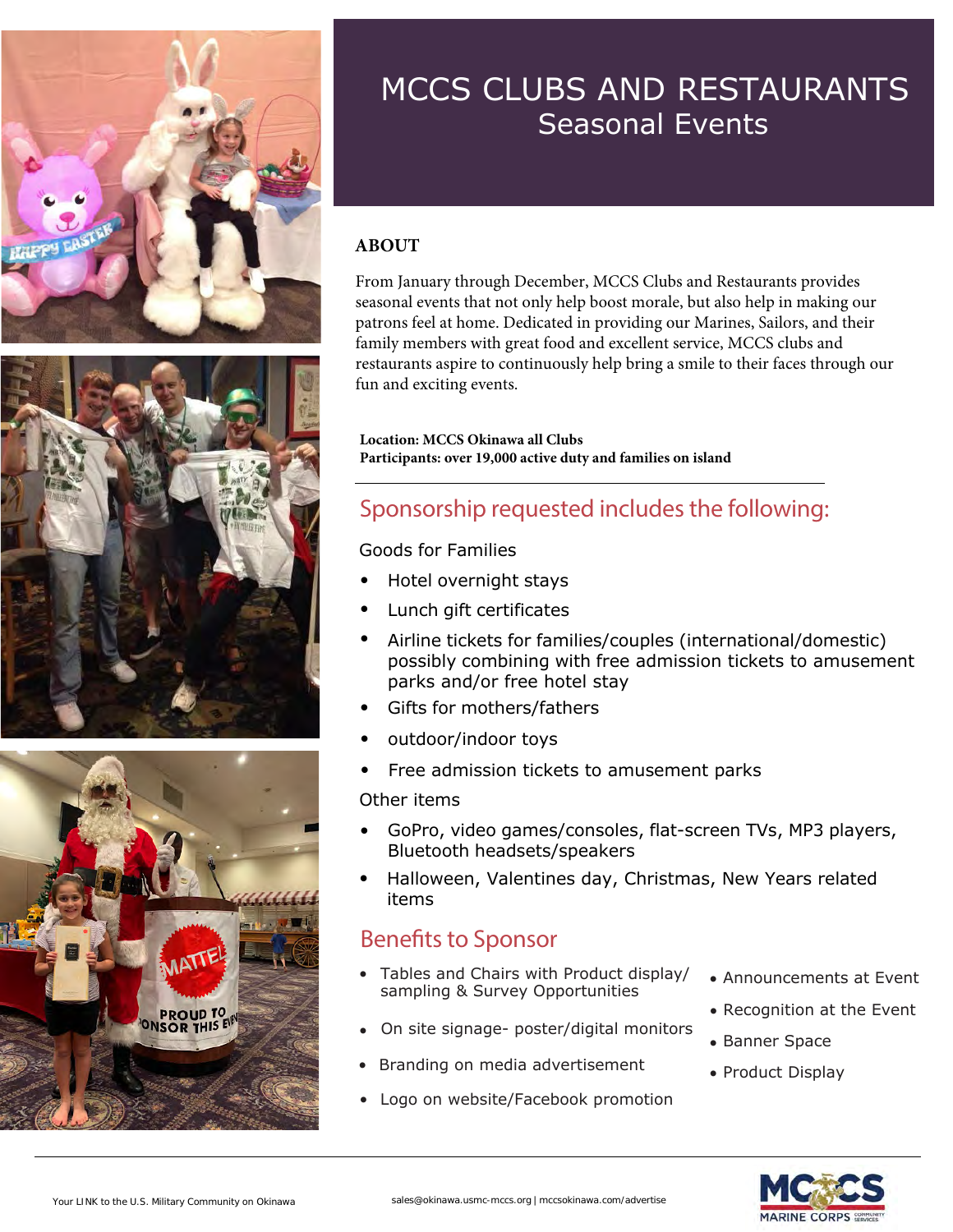





#### MCCS CLUBS AND RESTAURANTS Seasonal Events

#### **ABOUT**

From January through December, MCCS Clubs and Restaurants provides seasonal events that not only help boost morale, but also help in making our patrons feel at home. Dedicated in providing our Marines, Sailors, and their family members with great food and excellent service, MCCS clubs and restaurants aspire to continuously help bring a smile to their faces through our fun and exciting events.

**Location: MCCS Okinawa all Clubs Participants: over 19,000 active duty and families on island**

#### Sponsorship requested includes the following:

Goods for Families

- Hotel overnight stays
- Lunch gift certificates
- Airline tickets for families/couples (international/domestic) possibly combining with free admission tickets to amusement parks and/or free hotel stay
- Gifts for mothers/fathers
- outdoor/indoor toys
- Free admission tickets to amusement parks

#### Other items

- GoPro, video games/consoles, flat-screen TVs, MP3 players, Bluetooth headsets/speakers
- Halloween, Valentines day, Christmas, New Years related items

#### Benefits to Sponsor

- Tables and Chairs with Product display/ sampling & Survey Opportunities
- On site signage- poster/digital monitors
- Branding on media advertisement
- Logo on website/Facebook promotion
- Announcements at Event
- Recognition at the Event
- Banner Space
- Product Display

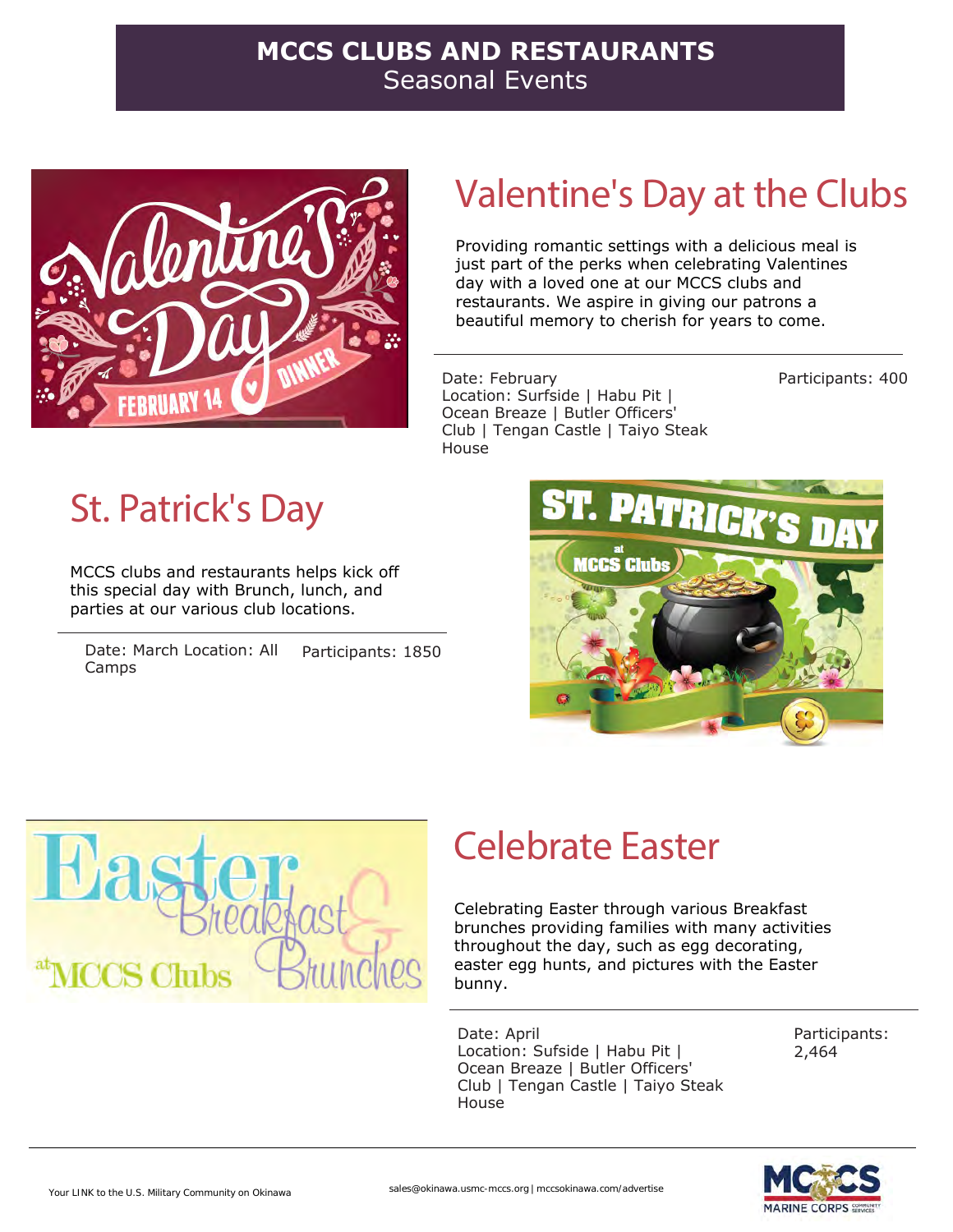#### **MCCS CLUBS AND RESTAURANTS**  Seasonal Events



### Valentine's Day at the Clubs

Providing romantic settings with a delicious meal is just part of the perks when celebrating Valentines day with a loved one at our MCCS clubs and restaurants. We aspire in giving our patrons a beautiful memory to cherish for years to come.

Date: February Location: Surfside | Habu Pit | Ocean Breaze | Butler Officers' Club | Tengan Castle | Taiyo Steak House

Participants: 400

# St. Patrick's Day

MCCS clubs and restaurants helps kick off this special day with Brunch, lunch, and parties at our various club locations.

Date: March Location: All Camps Participants: 1850





### Celebrate Easter

Celebrating Easter through various Breakfast brunches providing families with many activities throughout the day, such as egg decorating, easter egg hunts, and pictures with the Easter bunny.

Date: April Location: Sufside | Habu Pit | Ocean Breaze | Butler Officers' Club | Tengan Castle | Taiyo Steak House

Participants: 2,464

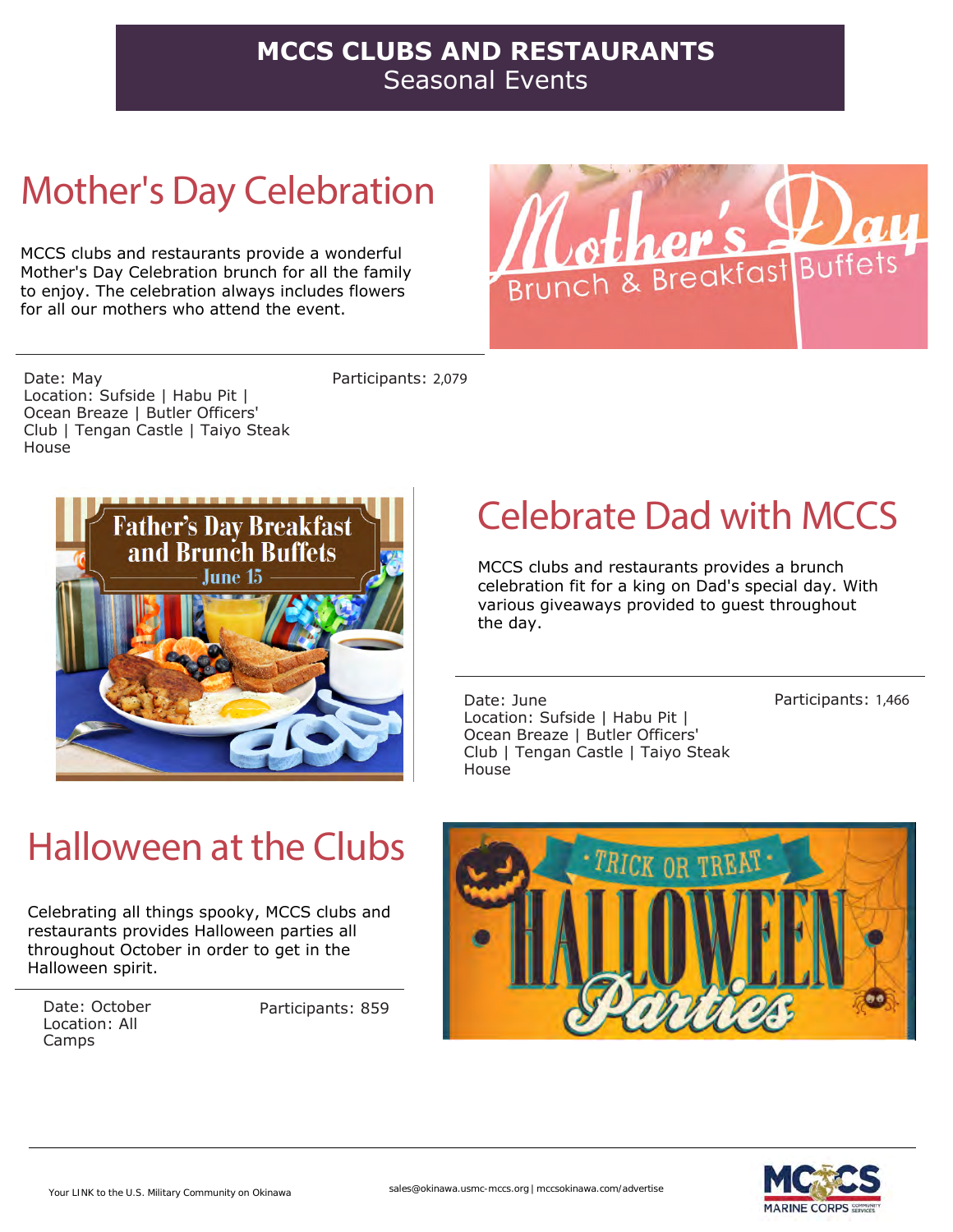#### **MCCS CLUBS AND RESTAURANTS**  Seasonal Events

# Mother's Day Celebration

MCCS clubs and restaurants provide a wonderful Mother's Day Celebration brunch for all the family to enjoy. The celebration always includes flowers for all our mothers who attend the event.



Date: May Location: Sufside | Habu Pit | Ocean Breaze | Butler Officers' Club | Tengan Castle | Taiyo Steak House

Participants: 2,079



### Halloween at the Clubs

Celebrating all things spooky, MCCS clubs and restaurants provides Halloween parties all throughout October in order to get in the Halloween spirit.

Date: October Location: All Camps

Participants: 859

## Celebrate Dad with MCCS

MCCS clubs and restaurants provides a brunch celebration fit for a king on Dad's special day. With various giveaways provided to guest throughout the day.

Date: June Location: Sufside | Habu Pit | Ocean Breaze | Butler Officers' Club | Tengan Castle | Taiyo Steak House

Participants: 1,466